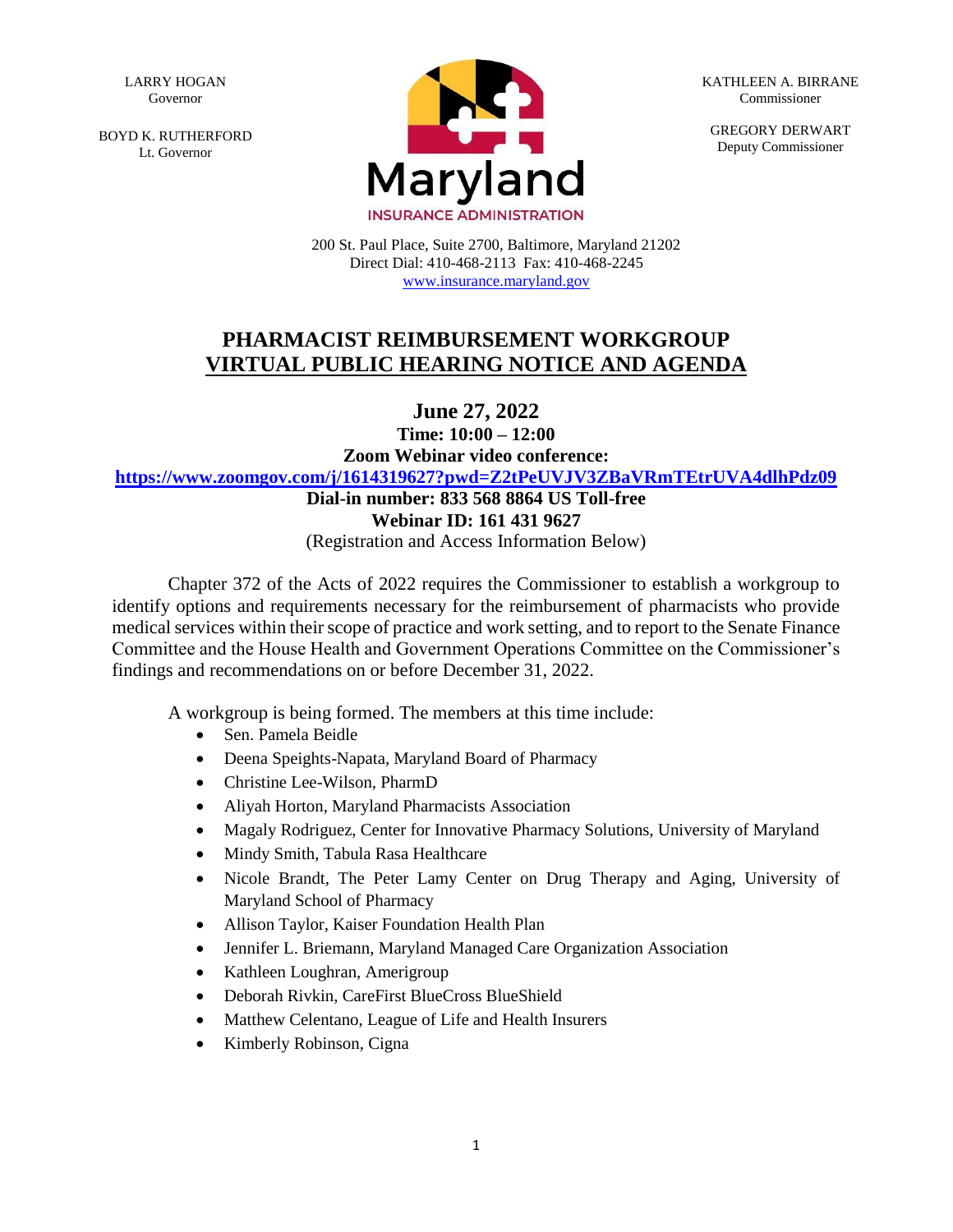LARRY HOGAN Governor

BOYD K. RUTHERFORD Lt. Governor



KATHLEEN A. BIRRANE Commissioner

GREGORY DERWART Deputy Commissioner

200 St. Paul Place, Suite 2700, Baltimore, Maryland 21202 Direct Dial: 410-468-2113 Fax: 410-468-2245 www.insurance.maryland.gov

## **PHARMACIST REIMBURSEMENT WORKGROUP VIRTUAL PUBLIC HEARING NOTICE AND AGENDA**

**June 27, 2022**

**Time: 10:00 – 12:00**

**Zoom Webinar video conference:** 

**<https://www.zoomgov.com/j/1614319627?pwd=Z2tPeUVJV3ZBaVRmTEtrUVA4dlhPdz09>**

## **Dial-in number: 833 568 8864 US Toll-free Webinar ID: 161 431 9627**

(Registration and Access Information Below)

Chapter 372 of the Acts of 2022 requires the Commissioner to establish a workgroup to identify options and requirements necessary for the reimbursement of pharmacists who provide medical services within their scope of practice and work setting, and to report to the Senate Finance Committee and the House Health and Government Operations Committee on the Commissioner's findings and recommendations on or before December 31, 2022.

A workgroup is being formed. The members at this time include:

- Sen. Pamela Beidle
- Deena Speights-Napata, Maryland Board of Pharmacy
- Christine Lee-Wilson, PharmD
- Aliyah Horton, Maryland Pharmacists Association
- Magaly Rodriguez, Center for Innovative Pharmacy Solutions, University of Maryland
- Mindy Smith, Tabula Rasa Healthcare
- Nicole Brandt, The Peter Lamy Center on Drug Therapy and Aging, University of Maryland School of Pharmacy
- Allison Taylor, Kaiser Foundation Health Plan
- Jennifer L. Briemann, Maryland Managed Care Organization Association
- Kathleen Loughran, Amerigroup
- Deborah Rivkin, CareFirst BlueCross BlueShield
- Matthew Celentano, League of Life and Health Insurers
- Kimberly Robinson, Cigna